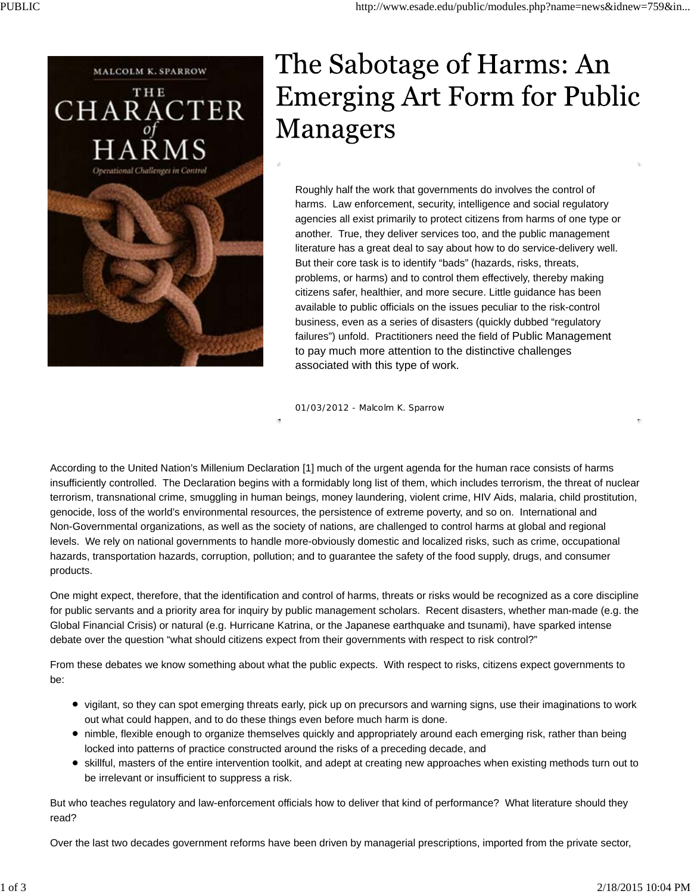

## The Sabotage of Harms: An **Emerging Art Form for Public Managers**

Roughly half the work that governments do involves the control of harms. Law enforcement, security, intelligence and social regulatory agencies all exist primarily to protect citizens from harms of one type or another. True, they deliver services too, and the public management literature has a great deal to say about how to do service-delivery well. But their core task is to identify "bads" (hazards, risks, threats, problems, or harms) and to control them effectively, thereby making citizens safer, healthier, and more secure. Little guidance has been available to public officials on the issues peculiar to the risk-control business, even as a series of disasters (quickly dubbed "regulatory failures") unfold. Practitioners need the field of Public Management to pay much more attention to the distinctive challenges associated with this type of work.

01/03/2012 - Malcolm K. Sparrow

According to the United Nation's Millenium Declaration [1] much of the urgent agenda for the human race consists of harms insufficiently controlled. The Declaration begins with a formidably long list of them, which includes terrorism, the threat of nuclear terrorism, transnational crime, smuggling in human beings, money laundering, violent crime, HIV Aids, malaria, child prostitution, genocide, loss of the world's environmental resources, the persistence of extreme poverty, and so on. International and Non-Governmental organizations, as well as the society of nations, are challenged to control harms at global and regional levels. We rely on national governments to handle more-obviously domestic and localized risks, such as crime, occupational hazards, transportation hazards, corruption, pollution; and to guarantee the safety of the food supply, drugs, and consumer products.

One might expect, therefore, that the identification and control of harms, threats or risks would be recognized as a core discipline for public servants and a priority area for inquiry by public management scholars. Recent disasters, whether man-made (e.g. the Global Financial Crisis) or natural (e.g. Hurricane Katrina, or the Japanese earthquake and tsunami), have sparked intense debate over the question "what should citizens expect from their governments with respect to risk control?"

From these debates we know something about what the public expects. With respect to risks, citizens expect governments to be:

- vigilant, so they can spot emerging threats early, pick up on precursors and warning signs, use their imaginations to work out what could happen, and to do these things even before much harm is done.
- nimble, flexible enough to organize themselves quickly and appropriately around each emerging risk, rather than being locked into patterns of practice constructed around the risks of a preceding decade, and
- skillful, masters of the entire intervention toolkit, and adept at creating new approaches when existing methods turn out to be irrelevant or insufficient to suppress a risk.

But who teaches regulatory and law-enforcement officials how to deliver that kind of performance? What literature should they read?

Over the last two decades government reforms have been driven by managerial prescriptions, imported from the private sector,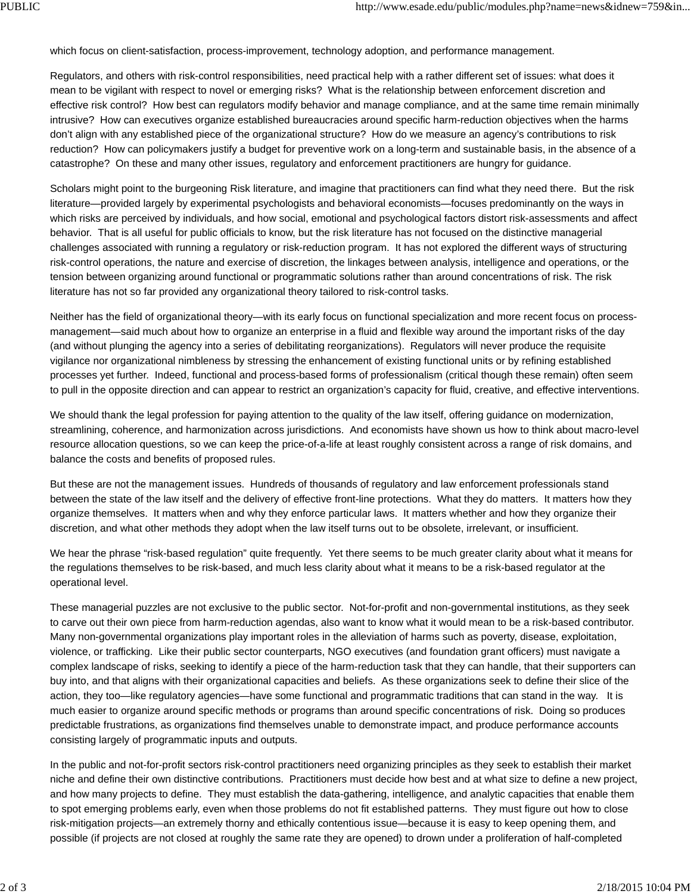which focus on client-satisfaction, process-improvement, technology adoption, and performance management.

Regulators, and others with risk-control responsibilities, need practical help with a rather different set of issues: what does it mean to be vigilant with respect to novel or emerging risks? What is the relationship between enforcement discretion and effective risk control? How best can regulators modify behavior and manage compliance, and at the same time remain minimally intrusive? How can executives organize established bureaucracies around specific harm-reduction objectives when the harms don't align with any established piece of the organizational structure? How do we measure an agency's contributions to risk reduction? How can policymakers justify a budget for preventive work on a long-term and sustainable basis, in the absence of a catastrophe? On these and many other issues, regulatory and enforcement practitioners are hungry for guidance.

Scholars might point to the burgeoning Risk literature, and imagine that practitioners can find what they need there. But the risk literature—provided largely by experimental psychologists and behavioral economists—focuses predominantly on the ways in which risks are perceived by individuals, and how social, emotional and psychological factors distort risk-assessments and affect behavior. That is all useful for public officials to know, but the risk literature has not focused on the distinctive managerial challenges associated with running a regulatory or risk-reduction program. It has not explored the different ways of structuring risk-control operations, the nature and exercise of discretion, the linkages between analysis, intelligence and operations, or the tension between organizing around functional or programmatic solutions rather than around concentrations of risk. The risk literature has not so far provided any organizational theory tailored to risk-control tasks.

Neither has the field of organizational theory—with its early focus on functional specialization and more recent focus on processmanagement—said much about how to organize an enterprise in a fluid and flexible way around the important risks of the day (and without plunging the agency into a series of debilitating reorganizations). Regulators will never produce the requisite vigilance nor organizational nimbleness by stressing the enhancement of existing functional units or by refining established processes yet further. Indeed, functional and process-based forms of professionalism (critical though these remain) often seem to pull in the opposite direction and can appear to restrict an organization's capacity for fluid, creative, and effective interventions.

We should thank the legal profession for paying attention to the quality of the law itself, offering guidance on modernization, streamlining, coherence, and harmonization across jurisdictions. And economists have shown us how to think about macro-level resource allocation questions, so we can keep the price-of-a-life at least roughly consistent across a range of risk domains, and balance the costs and benefits of proposed rules.

But these are not the management issues. Hundreds of thousands of regulatory and law enforcement professionals stand between the state of the law itself and the delivery of effective front-line protections. What they do matters. It matters how they organize themselves. It matters when and why they enforce particular laws. It matters whether and how they organize their discretion, and what other methods they adopt when the law itself turns out to be obsolete, irrelevant, or insufficient.

We hear the phrase "risk-based regulation" quite frequently. Yet there seems to be much greater clarity about what it means for the regulations themselves to be risk-based, and much less clarity about what it means to be a risk-based regulator at the operational level.

These managerial puzzles are not exclusive to the public sector. Not-for-profit and non-governmental institutions, as they seek to carve out their own piece from harm-reduction agendas, also want to know what it would mean to be a risk-based contributor. Many non-governmental organizations play important roles in the alleviation of harms such as poverty, disease, exploitation, violence, or trafficking. Like their public sector counterparts, NGO executives (and foundation grant officers) must navigate a complex landscape of risks, seeking to identify a piece of the harm-reduction task that they can handle, that their supporters can buy into, and that aligns with their organizational capacities and beliefs. As these organizations seek to define their slice of the action, they too—like regulatory agencies—have some functional and programmatic traditions that can stand in the way. It is much easier to organize around specific methods or programs than around specific concentrations of risk. Doing so produces predictable frustrations, as organizations find themselves unable to demonstrate impact, and produce performance accounts consisting largely of programmatic inputs and outputs.

In the public and not-for-profit sectors risk-control practitioners need organizing principles as they seek to establish their market niche and define their own distinctive contributions. Practitioners must decide how best and at what size to define a new project, and how many projects to define. They must establish the data-gathering, intelligence, and analytic capacities that enable them to spot emerging problems early, even when those problems do not fit established patterns. They must figure out how to close risk-mitigation projects—an extremely thorny and ethically contentious issue—because it is easy to keep opening them, and possible (if projects are not closed at roughly the same rate they are opened) to drown under a proliferation of half-completed